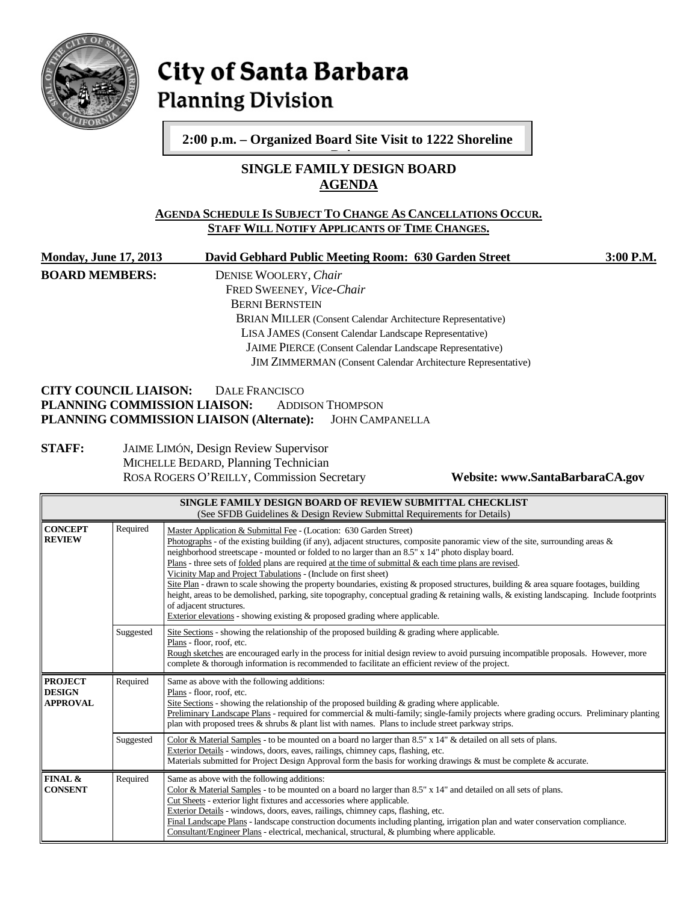

# City of Santa Barbara **Planning Division**

**2:00 p.m. – Organized Board Site Visit to 1222 Shoreline** 

# **SINGLE FAMILY DESIGN BOARD AGENDA D i**

# **AGENDA SCHEDULE IS SUBJECT TO CHANGE AS CANCELLATIONS OCCUR. STAFF WILL NOTIFY APPLICANTS OF TIME CHANGES.**

| <b>Monday, June 17, 2013</b>                                                                                                         |           | David Gebhard Public Meeting Room: 630 Garden Street<br>3:00 P.M.                                                                                                                                                                                                                                                                                                                                                                                                                                                                                                                                                                                                                                                                                                                                                                                                                            |  |  |  |  |
|--------------------------------------------------------------------------------------------------------------------------------------|-----------|----------------------------------------------------------------------------------------------------------------------------------------------------------------------------------------------------------------------------------------------------------------------------------------------------------------------------------------------------------------------------------------------------------------------------------------------------------------------------------------------------------------------------------------------------------------------------------------------------------------------------------------------------------------------------------------------------------------------------------------------------------------------------------------------------------------------------------------------------------------------------------------------|--|--|--|--|
| <b>BOARD MEMBERS:</b>                                                                                                                |           | DENISE WOOLERY, Chair<br>FRED SWEENEY, Vice-Chair<br><b>BERNI BERNSTEIN</b><br>BRIAN MILLER (Consent Calendar Architecture Representative)<br>LISA JAMES (Consent Calendar Landscape Representative)<br>JAIME PIERCE (Consent Calendar Landscape Representative)                                                                                                                                                                                                                                                                                                                                                                                                                                                                                                                                                                                                                             |  |  |  |  |
| <b>JIM ZIMMERMAN</b> (Consent Calendar Architecture Representative)                                                                  |           |                                                                                                                                                                                                                                                                                                                                                                                                                                                                                                                                                                                                                                                                                                                                                                                                                                                                                              |  |  |  |  |
| <b>CITY COUNCIL LIAISON:</b><br><b>STAFF:</b>                                                                                        |           | <b>DALE FRANCISCO</b><br>PLANNING COMMISSION LIAISON:<br><b>ADDISON THOMPSON</b><br>PLANNING COMMISSION LIAISON (Alternate):<br><b>JOHN CAMPANELLA</b>                                                                                                                                                                                                                                                                                                                                                                                                                                                                                                                                                                                                                                                                                                                                       |  |  |  |  |
|                                                                                                                                      |           | JAIME LIMÓN, Design Review Supervisor<br>MICHELLE BEDARD, Planning Technician<br>ROSA ROGERS O'REILLY, Commission Secretary<br>Website: www.SantaBarbaraCA.gov                                                                                                                                                                                                                                                                                                                                                                                                                                                                                                                                                                                                                                                                                                                               |  |  |  |  |
| SINGLE FAMILY DESIGN BOARD OF REVIEW SUBMITTAL CHECKLIST<br>(See SFDB Guidelines & Design Review Submittal Requirements for Details) |           |                                                                                                                                                                                                                                                                                                                                                                                                                                                                                                                                                                                                                                                                                                                                                                                                                                                                                              |  |  |  |  |
| <b>CONCEPT</b><br><b>REVIEW</b>                                                                                                      | Required  | Master Application & Submittal Fee - (Location: 630 Garden Street)<br>Photographs - of the existing building (if any), adjacent structures, composite panoramic view of the site, surrounding areas &<br>neighborhood streetscape - mounted or folded to no larger than an 8.5" x 14" photo display board.<br>Plans - three sets of folded plans are required at the time of submittal & each time plans are revised.<br>Vicinity Map and Project Tabulations - (Include on first sheet)<br>Site Plan - drawn to scale showing the property boundaries, existing & proposed structures, building & area square footages, building<br>height, areas to be demolished, parking, site topography, conceptual grading & retaining walls, & existing landscaping. Include footprints<br>of adjacent structures.<br>Exterior elevations - showing existing $\&$ proposed grading where applicable. |  |  |  |  |
|                                                                                                                                      | Suggested | Site Sections - showing the relationship of the proposed building $\&$ grading where applicable.<br>Plans - floor, roof, etc.<br>Rough sketches are encouraged early in the process for initial design review to avoid pursuing incompatible proposals. However, more<br>complete & thorough information is recommended to facilitate an efficient review of the project.                                                                                                                                                                                                                                                                                                                                                                                                                                                                                                                    |  |  |  |  |
| <b>PROJECT</b><br><b>DESIGN</b><br><b>APPROVAL</b>                                                                                   | Required  | Same as above with the following additions:<br>Plans - floor, roof, etc.<br>Site Sections - showing the relationship of the proposed building $\&$ grading where applicable.<br>Preliminary Landscape Plans - required for commercial & multi-family; single-family projects where grading occurs. Preliminary planting<br>plan with proposed trees & shrubs & plant list with names. Plans to include street parkway strips.                                                                                                                                                                                                                                                                                                                                                                                                                                                                |  |  |  |  |
|                                                                                                                                      | Suggested | Color & Material Samples - to be mounted on a board no larger than $8.5" \times 14"$ & detailed on all sets of plans.<br>Exterior Details - windows, doors, eaves, railings, chimney caps, flashing, etc.<br>Materials submitted for Project Design Approval form the basis for working drawings & must be complete & accurate.                                                                                                                                                                                                                                                                                                                                                                                                                                                                                                                                                              |  |  |  |  |
| <b>FINAL &amp;</b><br><b>CONSENT</b>                                                                                                 | Required  | Same as above with the following additions:<br>Color & Material Samples - to be mounted on a board no larger than 8.5" x 14" and detailed on all sets of plans.<br>Cut Sheets - exterior light fixtures and accessories where applicable.<br>Exterior Details - windows, doors, eaves, railings, chimney caps, flashing, etc.                                                                                                                                                                                                                                                                                                                                                                                                                                                                                                                                                                |  |  |  |  |

Final Landscape Plans - landscape construction documents including planting, irrigation plan and water conservation compliance.

Consultant/Engineer Plans - electrical, mechanical, structural, & plumbing where applicable.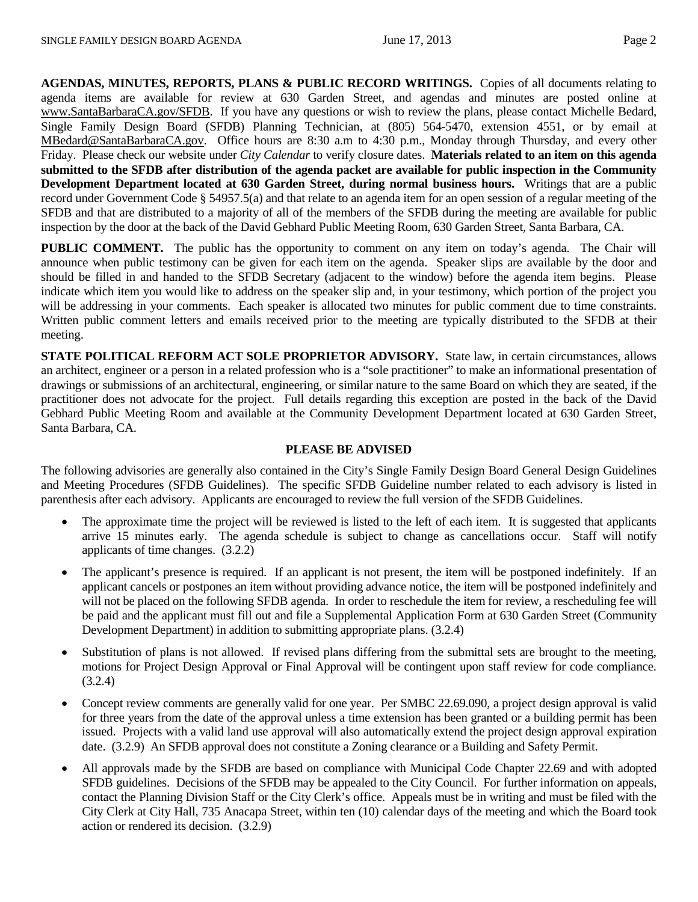**AGENDAS, MINUTES, REPORTS, PLANS & PUBLIC RECORD WRITINGS.** Copies of all documents relating to agenda items are available for review at 630 Garden Street, and agendas and minutes are posted online at [www.SantaBarbaraCA.gov/SFDB.](http://www.santabarbaraca.gov/ABR) If you have any questions or wish to review the plans, please contact Michelle Bedard, Single Family Design Board (SFDB) Planning Technician, at (805) 564-5470, extension 4551, or by email at [MBedard@SantaBarbaraCA.gov.](mailto:MBedard@SantaBarbaraCA.gov) Office hours are 8:30 a.m to 4:30 p.m., Monday through Thursday, and every other Friday. Please check our website under *City Calendar* to verify closure dates. **Materials related to an item on this agenda submitted to the SFDB after distribution of the agenda packet are available for public inspection in the Community Development Department located at 630 Garden Street, during normal business hours.** Writings that are a public record under Government Code § 54957.5(a) and that relate to an agenda item for an open session of a regular meeting of the SFDB and that are distributed to a majority of all of the members of the SFDB during the meeting are available for public inspection by the door at the back of the David Gebhard Public Meeting Room, 630 Garden Street, Santa Barbara, CA.

**PUBLIC COMMENT.** The public has the opportunity to comment on any item on today's agenda. The Chair will announce when public testimony can be given for each item on the agenda. Speaker slips are available by the door and should be filled in and handed to the SFDB Secretary (adjacent to the window) before the agenda item begins. Please indicate which item you would like to address on the speaker slip and, in your testimony, which portion of the project you will be addressing in your comments. Each speaker is allocated two minutes for public comment due to time constraints. Written public comment letters and emails received prior to the meeting are typically distributed to the SFDB at their meeting.

**STATE POLITICAL REFORM ACT SOLE PROPRIETOR ADVISORY.** State law, in certain circumstances, allows an architect, engineer or a person in a related profession who is a "sole practitioner" to make an informational presentation of drawings or submissions of an architectural, engineering, or similar nature to the same Board on which they are seated, if the practitioner does not advocate for the project. Full details regarding this exception are posted in the back of the David Gebhard Public Meeting Room and available at the Community Development Department located at 630 Garden Street, Santa Barbara, CA.

#### **PLEASE BE ADVISED**

The following advisories are generally also contained in the City's Single Family Design Board General Design Guidelines and Meeting Procedures (SFDB Guidelines). The specific SFDB Guideline number related to each advisory is listed in parenthesis after each advisory. Applicants are encouraged to review the full version of the SFDB Guidelines.

- The approximate time the project will be reviewed is listed to the left of each item. It is suggested that applicants arrive 15 minutes early. The agenda schedule is subject to change as cancellations occur. Staff will notify applicants of time changes. (3.2.2)
- The applicant's presence is required. If an applicant is not present, the item will be postponed indefinitely. If an applicant cancels or postpones an item without providing advance notice, the item will be postponed indefinitely and will not be placed on the following SFDB agenda. In order to reschedule the item for review, a rescheduling fee will be paid and the applicant must fill out and file a Supplemental Application Form at 630 Garden Street (Community Development Department) in addition to submitting appropriate plans. (3.2.4)
- Substitution of plans is not allowed. If revised plans differing from the submittal sets are brought to the meeting, motions for Project Design Approval or Final Approval will be contingent upon staff review for code compliance. (3.2.4)
- Concept review comments are generally valid for one year. Per SMBC 22.69.090, a project design approval is valid for three years from the date of the approval unless a time extension has been granted or a building permit has been issued. Projects with a valid land use approval will also automatically extend the project design approval expiration date. (3.2.9) An SFDB approval does not constitute a Zoning clearance or a Building and Safety Permit.
- All approvals made by the SFDB are based on compliance with Municipal Code Chapter 22.69 and with adopted SFDB guidelines. Decisions of the SFDB may be appealed to the City Council. For further information on appeals, contact the Planning Division Staff or the City Clerk's office. Appeals must be in writing and must be filed with the City Clerk at City Hall, 735 Anacapa Street, within ten (10) calendar days of the meeting and which the Board took action or rendered its decision. (3.2.9)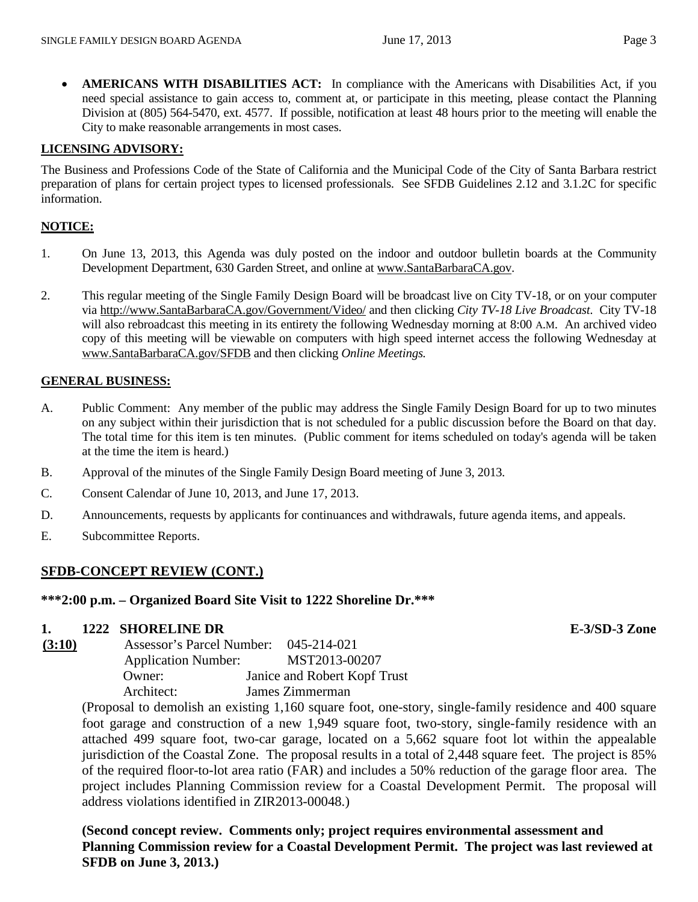• **AMERICANS WITH DISABILITIES ACT:** In compliance with the Americans with Disabilities Act, if you need special assistance to gain access to, comment at, or participate in this meeting, please contact the Planning Division at (805) 564-5470, ext. 4577. If possible, notification at least 48 hours prior to the meeting will enable the City to make reasonable arrangements in most cases.

# **LICENSING ADVISORY:**

The Business and Professions Code of the State of California and the Municipal Code of the City of Santa Barbara restrict preparation of plans for certain project types to licensed professionals. See SFDB Guidelines 2.12 and 3.1.2C for specific information.

# **NOTICE:**

- 1. On June 13, 2013, this Agenda was duly posted on the indoor and outdoor bulletin boards at the Community Development Department, 630 Garden Street, and online at [www.SantaBarbaraCA.gov.](http://www.santabarbaraca.gov/)
- 2. This regular meeting of the Single Family Design Board will be broadcast live on City TV-18, or on your computer via [http://www.SantaBarbaraCA.gov/Government/Video/](http://www.santabarbaraca.gov/Government/Video/) and then clicking *City TV-18 Live Broadcast*. City TV-18 will also rebroadcast this meeting in its entirety the following Wednesday morning at 8:00 A.M. An archived video copy of this meeting will be viewable on computers with high speed internet access the following Wednesday at [www.SantaBarbaraCA.gov/SFDB](http://www.santabarbaraca.gov/SFDB) and then clicking *Online Meetings.*

### **GENERAL BUSINESS:**

- A. Public Comment: Any member of the public may address the Single Family Design Board for up to two minutes on any subject within their jurisdiction that is not scheduled for a public discussion before the Board on that day. The total time for this item is ten minutes. (Public comment for items scheduled on today's agenda will be taken at the time the item is heard.)
- B. Approval of the minutes of the Single Family Design Board meeting of June 3, 2013.
- C. Consent Calendar of June 10, 2013, and June 17, 2013.
- D. Announcements, requests by applicants for continuances and withdrawals, future agenda items, and appeals.
- E. Subcommittee Reports.

### **SFDB-CONCEPT REVIEW (CONT.)**

### **\*\*\*2:00 p.m. – Organized Board Site Visit to 1222 Shoreline Dr.\*\*\***

#### **1. 1222 SHORELINE DR E-3/SD-3 Zone**

| (3:10) | Assessor's Parcel Number:  | 045-214-021                  |
|--------|----------------------------|------------------------------|
|        | <b>Application Number:</b> | MST2013-00207                |
|        | Owner:                     | Janice and Robert Kopf Trust |
|        | Architect:                 | James Zimmerman              |

(Proposal to demolish an existing 1,160 square foot, one-story, single-family residence and 400 square foot garage and construction of a new 1,949 square foot, two-story, single-family residence with an attached 499 square foot, two-car garage, located on a 5,662 square foot lot within the appealable jurisdiction of the Coastal Zone. The proposal results in a total of 2,448 square feet. The project is 85% of the required floor-to-lot area ratio (FAR) and includes a 50% reduction of the garage floor area. The project includes Planning Commission review for a Coastal Development Permit. The proposal will address violations identified in ZIR2013-00048.)

**(Second concept review. Comments only; project requires environmental assessment and Planning Commission review for a Coastal Development Permit. The project was last reviewed at SFDB on June 3, 2013.)**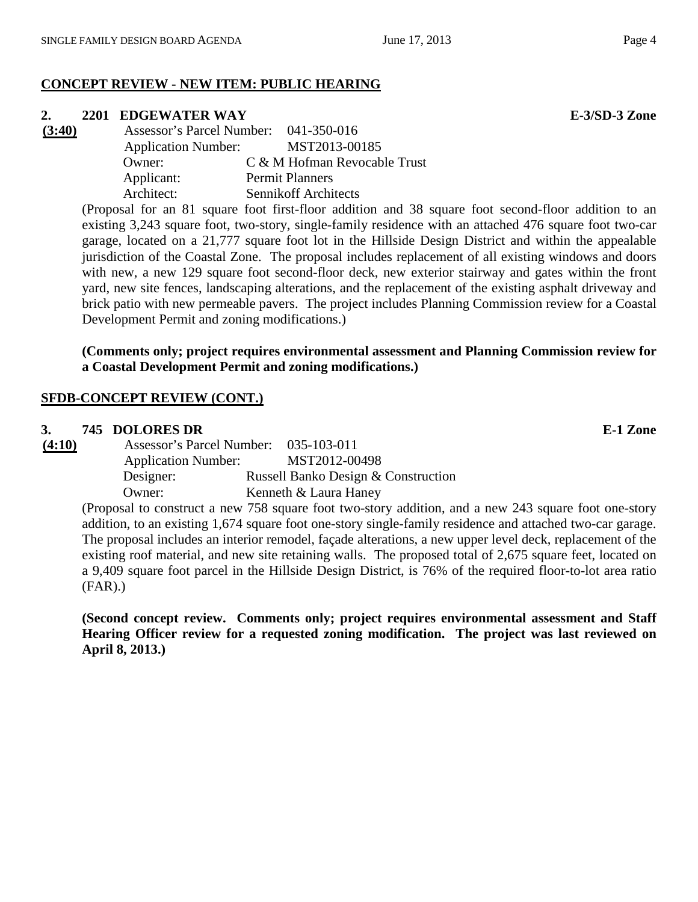# **CONCEPT REVIEW - NEW ITEM: PUBLIC HEARING**

**2. 2201 EDGEWATER WAY E-3/SD-3 Zone**<br> **<u>(3:40)</u> Assessor's Parcel Number: 041-350-016 (3:40)** Assessor's Parcel Number: 041-350-016 Application Number: MST2013-00185 Owner: C & M Hofman Revocable Trust Applicant: Permit Planners Architect: Sennikoff Architects

(Proposal for an 81 square foot first-floor addition and 38 square foot second-floor addition to an existing 3,243 square foot, two-story, single-family residence with an attached 476 square foot two-car garage, located on a 21,777 square foot lot in the Hillside Design District and within the appealable jurisdiction of the Coastal Zone. The proposal includes replacement of all existing windows and doors with new, a new 129 square foot second-floor deck, new exterior stairway and gates within the front yard, new site fences, landscaping alterations, and the replacement of the existing asphalt driveway and brick patio with new permeable pavers. The project includes Planning Commission review for a Coastal Development Permit and zoning modifications.)

# **(Comments only; project requires environmental assessment and Planning Commission review for a Coastal Development Permit and zoning modifications.)**

# **SFDB-CONCEPT REVIEW (CONT.)**

# **3. 745 DOLORES DR E-1 Zone**

**(4:10)** Assessor's Parcel Number: 035-103-011 Application Number: MST2012-00498 Designer: Russell Banko Design & Construction Owner: Kenneth & Laura Haney

(Proposal to construct a new 758 square foot two-story addition, and a new 243 square foot one-story addition, to an existing 1,674 square foot one-story single-family residence and attached two-car garage. The proposal includes an interior remodel, façade alterations, a new upper level deck, replacement of the existing roof material, and new site retaining walls. The proposed total of 2,675 square feet, located on a 9,409 square foot parcel in the Hillside Design District, is 76% of the required floor-to-lot area ratio (FAR).)

**(Second concept review. Comments only; project requires environmental assessment and Staff Hearing Officer review for a requested zoning modification. The project was last reviewed on April 8, 2013.)**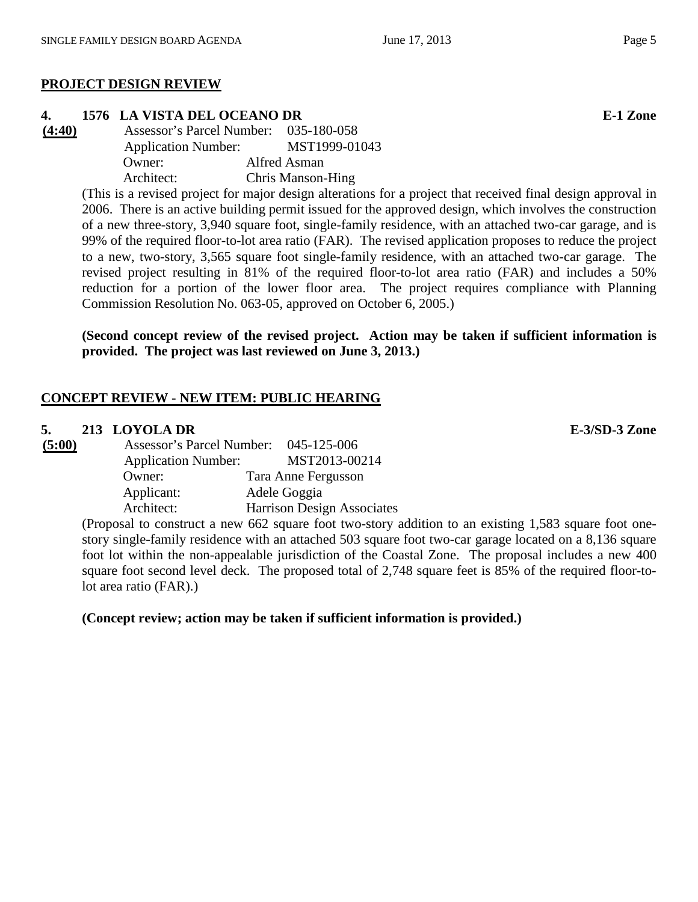# **PROJECT DESIGN REVIEW**

**4. 1576 LA VISTA DEL OCEANO DR E-1 Zone (4:40)** Assessor's Parcel Number: 035-180-058 Application Number: MST1999-01043 Owner: Alfred Asman Architect: Chris Manson-Hing

(This is a revised project for major design alterations for a project that received final design approval in 2006. There is an active building permit issued for the approved design, which involves the construction of a new three-story, 3,940 square foot, single-family residence, with an attached two-car garage, and is 99% of the required floor-to-lot area ratio (FAR). The revised application proposes to reduce the project to a new, two-story, 3,565 square foot single-family residence, with an attached two-car garage. The revised project resulting in 81% of the required floor-to-lot area ratio (FAR) and includes a 50% reduction for a portion of the lower floor area. The project requires compliance with Planning Commission Resolution No. 063-05, approved on October 6, 2005.)

**(Second concept review of the revised project. Action may be taken if sufficient information is provided. The project was last reviewed on June 3, 2013.)**

# **CONCEPT REVIEW - NEW ITEM: PUBLIC HEARING**

# **5. 213 LOYOLA DR E-3/SD-3 Zone**

| (5:00) | Assessor's Parcel Number:              | 045-125-006 |                                   |
|--------|----------------------------------------|-------------|-----------------------------------|
|        | <b>Application Number:</b>             |             | MST2013-00214                     |
|        | Owner:                                 |             | Tara Anne Fergusson               |
|        | Applicant:                             |             | Adele Goggia                      |
|        | Architect:                             |             | <b>Harrison Design Associates</b> |
|        | $\sigma$ 1. $\sigma$ $\sigma$ $\sigma$ |             |                                   |

(Proposal to construct a new 662 square foot two-story addition to an existing 1,583 square foot onestory single-family residence with an attached 503 square foot two-car garage located on a 8,136 square foot lot within the non-appealable jurisdiction of the Coastal Zone. The proposal includes a new 400 square foot second level deck. The proposed total of 2,748 square feet is 85% of the required floor-tolot area ratio (FAR).)

**(Concept review; action may be taken if sufficient information is provided.)**